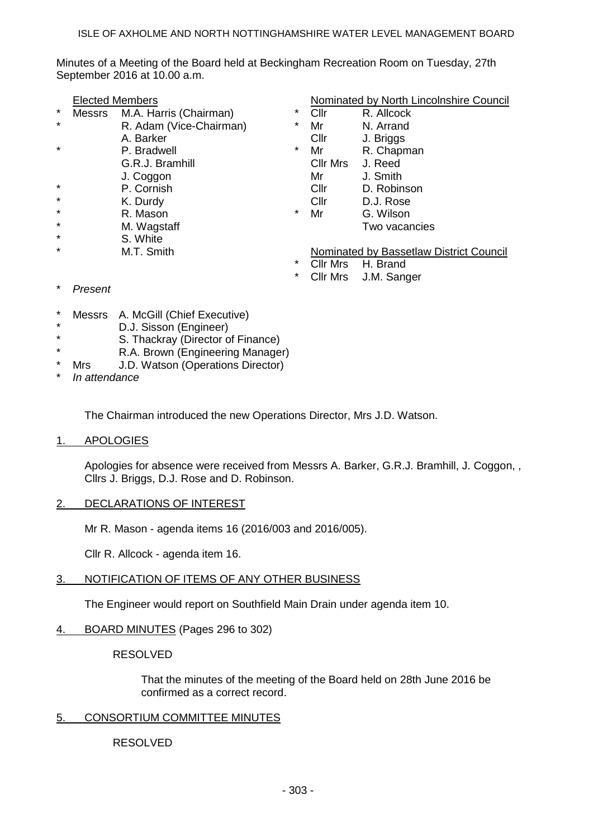Minutes of a Meeting of the Board held at Beckingham Recreation Room on Tuesday, 27th September 2016 at 10.00 a.m.

- Messrs M.A. Harris (Chairman) \* Cllr R. Allcock
- R. Adam (Vice-Chairman)  $*$  Mr N. Arrand
	-
	-
- 
- 
- 
- 
- 
- 
- S. White<br>M.T. Smith
- 

### Nominated by North Lincolnshire Council

- 
- 
- A. Barker Cllr J. Briggs
- P. Bradwell  $\bullet$  Mr R. Chapman
- G.R.J. Bramhill Cllr Mrs J. Reed
- J. Coggon Mr J. Smith
- \* P. Cornish Cllr D. Robinson
	- K. Durdy Cllr D.J. Rose R. Mason **\*** Mr G. Wilson
	- M. Wagstaff M. Wagstaff Two vacancies

**Nominated by Bassetlaw District Council**<br>
The Mrs. LL Pread

- Cllr Mrs H. Brand
- Cllr Mrs J.M. Sanger
- \* *Present*
- \* Messrs A. McGill (Chief Executive)
- \* D.J. Sisson (Engineer)
- S. Thackray (Director of Finance)
- \* R.A. Brown (Engineering Manager)
- Mrs J.D. Watson (Operations Director)
- In attendance

The Chairman introduced the new Operations Director, Mrs J.D. Watson.

1. APOLOGIES

Apologies for absence were received from Messrs A. Barker, G.R.J. Bramhill, J. Coggon, , Cllrs J. Briggs, D.J. Rose and D. Robinson.

2. DECLARATIONS OF INTEREST

Mr R. Mason - agenda items 16 (2016/003 and 2016/005).

Cllr R. Allcock - agenda item 16.

3. NOTIFICATION OF ITEMS OF ANY OTHER BUSINESS

The Engineer would report on Southfield Main Drain under agenda item 10.

- 4. BOARD MINUTES (Pages 296 to 302)
	- RESOLVED

That the minutes of the meeting of the Board held on 28th June 2016 be confirmed as a correct record.

## 5. CONSORTIUM COMMITTEE MINUTES

RESOLVED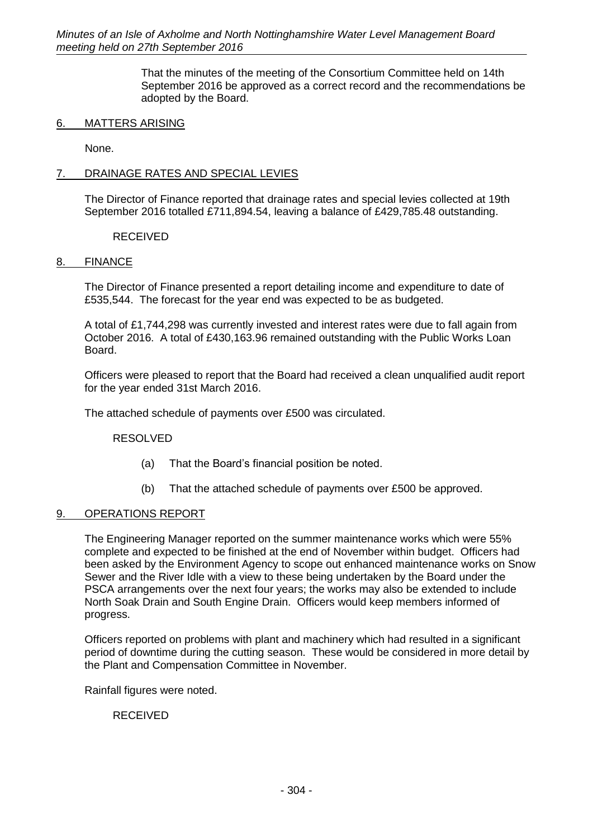That the minutes of the meeting of the Consortium Committee held on 14th September 2016 be approved as a correct record and the recommendations be adopted by the Board.

## 6. MATTERS ARISING

None.

## 7. DRAINAGE RATES AND SPECIAL LEVIES

The Director of Finance reported that drainage rates and special levies collected at 19th September 2016 totalled £711,894.54, leaving a balance of £429,785.48 outstanding.

RECEIVED

### 8. FINANCE

The Director of Finance presented a report detailing income and expenditure to date of £535,544. The forecast for the year end was expected to be as budgeted.

A total of £1,744,298 was currently invested and interest rates were due to fall again from October 2016. A total of £430,163.96 remained outstanding with the Public Works Loan Board.

Officers were pleased to report that the Board had received a clean unqualified audit report for the year ended 31st March 2016.

The attached schedule of payments over £500 was circulated.

RESOLVED

- (a) That the Board's financial position be noted.
- (b) That the attached schedule of payments over £500 be approved.

## 9. OPERATIONS REPORT

The Engineering Manager reported on the summer maintenance works which were 55% complete and expected to be finished at the end of November within budget. Officers had been asked by the Environment Agency to scope out enhanced maintenance works on Snow Sewer and the River Idle with a view to these being undertaken by the Board under the PSCA arrangements over the next four years; the works may also be extended to include North Soak Drain and South Engine Drain. Officers would keep members informed of progress.

Officers reported on problems with plant and machinery which had resulted in a significant period of downtime during the cutting season. These would be considered in more detail by the Plant and Compensation Committee in November.

Rainfall figures were noted.

RECEIVED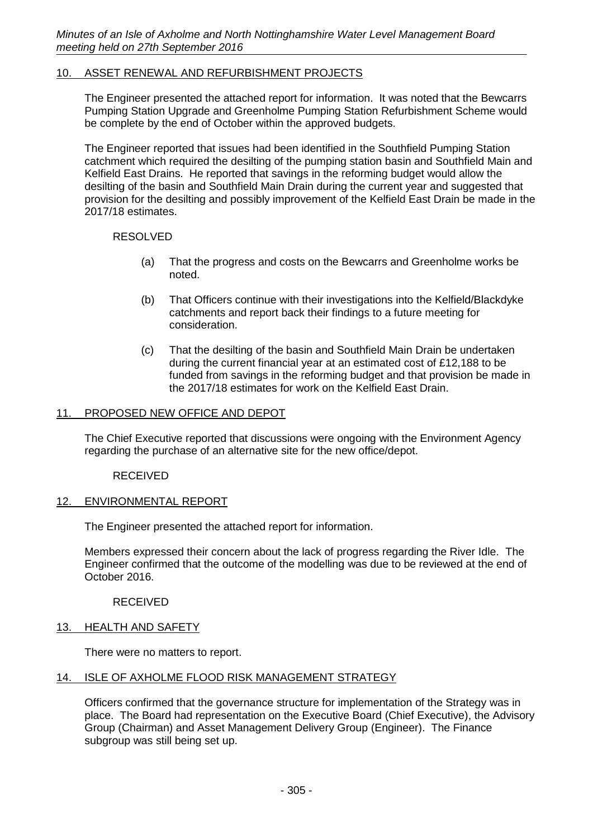## 10. ASSET RENEWAL AND REFURBISHMENT PROJECTS

The Engineer presented the attached report for information. It was noted that the Bewcarrs Pumping Station Upgrade and Greenholme Pumping Station Refurbishment Scheme would be complete by the end of October within the approved budgets.

The Engineer reported that issues had been identified in the Southfield Pumping Station catchment which required the desilting of the pumping station basin and Southfield Main and Kelfield East Drains. He reported that savings in the reforming budget would allow the desilting of the basin and Southfield Main Drain during the current year and suggested that provision for the desilting and possibly improvement of the Kelfield East Drain be made in the 2017/18 estimates.

RESOLVED

- (a) That the progress and costs on the Bewcarrs and Greenholme works be noted.
- (b) That Officers continue with their investigations into the Kelfield/Blackdyke catchments and report back their findings to a future meeting for consideration.
- (c) That the desilting of the basin and Southfield Main Drain be undertaken during the current financial year at an estimated cost of £12,188 to be funded from savings in the reforming budget and that provision be made in the 2017/18 estimates for work on the Kelfield East Drain.

## 11. PROPOSED NEW OFFICE AND DEPOT

The Chief Executive reported that discussions were ongoing with the Environment Agency regarding the purchase of an alternative site for the new office/depot.

RECEIVED

## 12. ENVIRONMENTAL REPORT

The Engineer presented the attached report for information.

Members expressed their concern about the lack of progress regarding the River Idle. The Engineer confirmed that the outcome of the modelling was due to be reviewed at the end of October 2016.

RECEIVED

### 13. HEALTH AND SAFETY

There were no matters to report.

#### 14. ISLE OF AXHOLME FLOOD RISK MANAGEMENT STRATEGY

Officers confirmed that the governance structure for implementation of the Strategy was in place. The Board had representation on the Executive Board (Chief Executive), the Advisory Group (Chairman) and Asset Management Delivery Group (Engineer). The Finance subgroup was still being set up.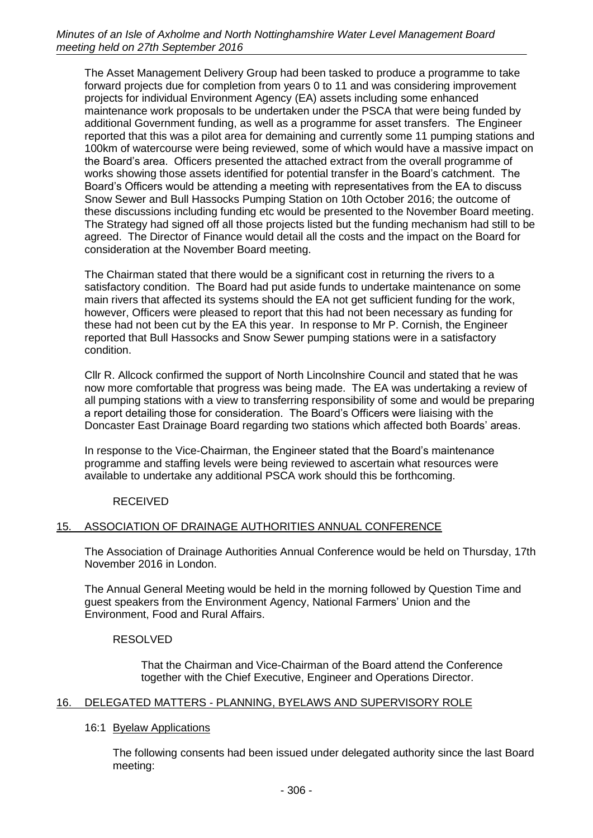The Asset Management Delivery Group had been tasked to produce a programme to take forward projects due for completion from years 0 to 11 and was considering improvement projects for individual Environment Agency (EA) assets including some enhanced maintenance work proposals to be undertaken under the PSCA that were being funded by additional Government funding, as well as a programme for asset transfers. The Engineer reported that this was a pilot area for demaining and currently some 11 pumping stations and 100km of watercourse were being reviewed, some of which would have a massive impact on the Board's area. Officers presented the attached extract from the overall programme of works showing those assets identified for potential transfer in the Board's catchment. The Board's Officers would be attending a meeting with representatives from the EA to discuss Snow Sewer and Bull Hassocks Pumping Station on 10th October 2016; the outcome of these discussions including funding etc would be presented to the November Board meeting. The Strategy had signed off all those projects listed but the funding mechanism had still to be agreed. The Director of Finance would detail all the costs and the impact on the Board for consideration at the November Board meeting.

The Chairman stated that there would be a significant cost in returning the rivers to a satisfactory condition. The Board had put aside funds to undertake maintenance on some main rivers that affected its systems should the EA not get sufficient funding for the work, however, Officers were pleased to report that this had not been necessary as funding for these had not been cut by the EA this year. In response to Mr P. Cornish, the Engineer reported that Bull Hassocks and Snow Sewer pumping stations were in a satisfactory condition.

Cllr R. Allcock confirmed the support of North Lincolnshire Council and stated that he was now more comfortable that progress was being made. The EA was undertaking a review of all pumping stations with a view to transferring responsibility of some and would be preparing a report detailing those for consideration. The Board's Officers were liaising with the Doncaster East Drainage Board regarding two stations which affected both Boards' areas.

In response to the Vice-Chairman, the Engineer stated that the Board's maintenance programme and staffing levels were being reviewed to ascertain what resources were available to undertake any additional PSCA work should this be forthcoming.

RECEIVED

# 15. ASSOCIATION OF DRAINAGE AUTHORITIES ANNUAL CONFERENCE

The Association of Drainage Authorities Annual Conference would be held on Thursday, 17th November 2016 in London.

The Annual General Meeting would be held in the morning followed by Question Time and guest speakers from the Environment Agency, National Farmers' Union and the Environment, Food and Rural Affairs.

# RESOLVED

That the Chairman and Vice-Chairman of the Board attend the Conference together with the Chief Executive, Engineer and Operations Director.

# 16. DELEGATED MATTERS - PLANNING, BYELAWS AND SUPERVISORY ROLE

## 16:1 Byelaw Applications

The following consents had been issued under delegated authority since the last Board meeting: